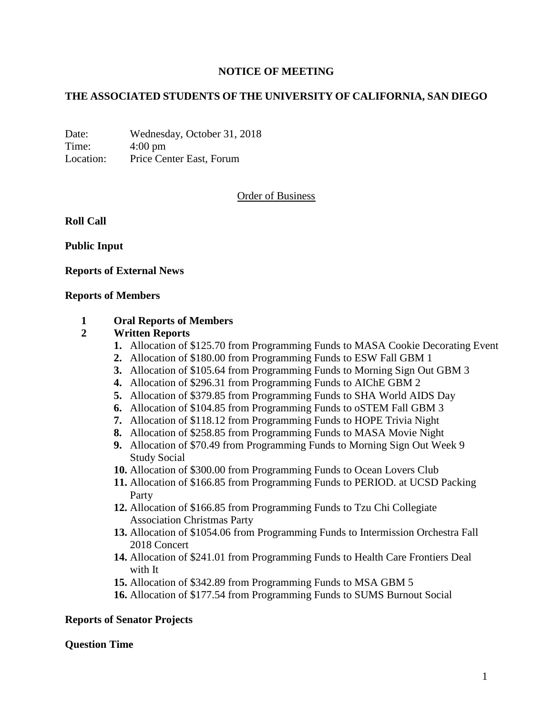# **NOTICE OF MEETING**

# **THE ASSOCIATED STUDENTS OF THE UNIVERSITY OF CALIFORNIA, SAN DIEGO**

Date: Wednesday, October 31, 2018 Time: 4:00 pm Location: Price Center East, Forum

# Order of Business

**Roll Call**

**Public Input**

**Reports of External News**

#### **Reports of Members**

### **1 Oral Reports of Members**

### **2 Written Reports**

- **1.** Allocation of \$125.70 from Programming Funds to MASA Cookie Decorating Event
- **2.** Allocation of \$180.00 from Programming Funds to ESW Fall GBM 1
- **3.** Allocation of \$105.64 from Programming Funds to Morning Sign Out GBM 3
- **4.** Allocation of \$296.31 from Programming Funds to AIChE GBM 2
- **5.** Allocation of \$379.85 from Programming Funds to SHA World AIDS Day
- **6.** Allocation of \$104.85 from Programming Funds to oSTEM Fall GBM 3
- **7.** Allocation of \$118.12 from Programming Funds to HOPE Trivia Night
- **8.** Allocation of \$258.85 from Programming Funds to MASA Movie Night
- **9.** Allocation of \$70.49 from Programming Funds to Morning Sign Out Week 9 Study Social
- **10.** Allocation of \$300.00 from Programming Funds to Ocean Lovers Club
- **11.** Allocation of \$166.85 from Programming Funds to PERIOD. at UCSD Packing Party
- **12.** Allocation of \$166.85 from Programming Funds to Tzu Chi Collegiate Association Christmas Party
- **13.** Allocation of \$1054.06 from Programming Funds to Intermission Orchestra Fall 2018 Concert
- **14.** Allocation of \$241.01 from Programming Funds to Health Care Frontiers Deal with It
- **15.** Allocation of \$342.89 from Programming Funds to MSA GBM 5
- **16.** Allocation of \$177.54 from Programming Funds to SUMS Burnout Social

### **Reports of Senator Projects**

#### **Question Time**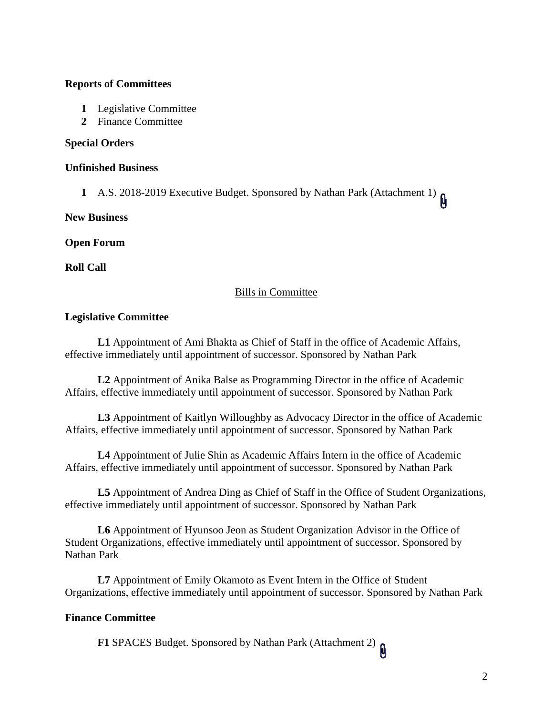# **Reports of Committees**

- **1** Legislative Committee
- **2** Finance Committee

### **Special Orders**

### **Unfinished Business**

**1** A.S. 2018-2019 Executive Budget. Sponsored by Nathan Park (Attachment 1)  $\theta$ 

**New Business**

**Open Forum**

**Roll Call**

# Bills in Committee

# **Legislative Committee**

**L1** Appointment of Ami Bhakta as Chief of Staff in the office of Academic Affairs, effective immediately until appointment of successor. Sponsored by Nathan Park

**L2** Appointment of Anika Balse as Programming Director in the office of Academic Affairs, effective immediately until appointment of successor. Sponsored by Nathan Park

**L3** Appointment of Kaitlyn Willoughby as Advocacy Director in the office of Academic Affairs, effective immediately until appointment of successor. Sponsored by Nathan Park

**L4** Appointment of Julie Shin as Academic Affairs Intern in the office of Academic Affairs, effective immediately until appointment of successor. Sponsored by Nathan Park

**L5** Appointment of Andrea Ding as Chief of Staff in the Office of Student Organizations, effective immediately until appointment of successor. Sponsored by Nathan Park

**L6** Appointment of Hyunsoo Jeon as Student Organization Advisor in the Office of Student Organizations, effective immediately until appointment of successor. Sponsored by Nathan Park

**L7** Appointment of Emily Okamoto as Event Intern in the Office of Student Organizations, effective immediately until appointment of successor. Sponsored by Nathan Park

# **Finance Committee**

**F1** SPACES Budget. Sponsored by Nathan Park (Attachment 2)  $\mathbf{\hat{\mu}}$